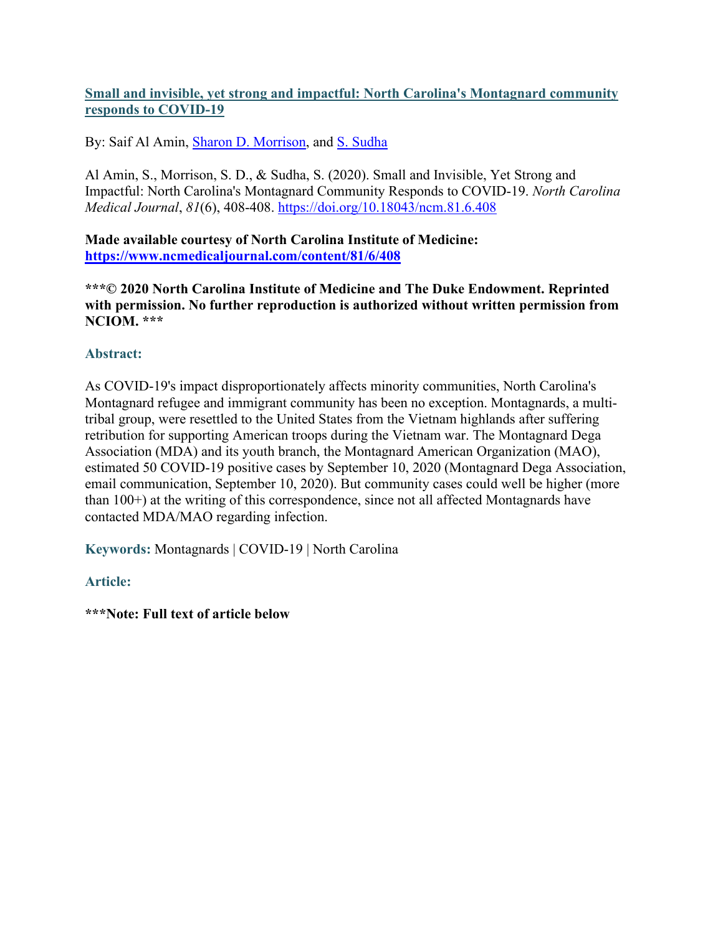## **Small and invisible, yet strong and impactful: North Carolina's Montagnard community responds to COVID-19**

By: Saif Al Amin, [Sharon D. Morrison,](http://libres.uncg.edu/ir/uncg/clist.aspx?id=1533) and [S. Sudha](http://libres.uncg.edu/ir/uncg/clist.aspx?id=1221)

Al Amin, S., Morrison, S. D., & Sudha, S. (2020). Small and Invisible, Yet Strong and Impactful: North Carolina's Montagnard Community Responds to COVID-19. *North Carolina Medical Journal*, *81*(6), 408-408. <https://doi.org/10.18043/ncm.81.6.408>

**Made available courtesy of North Carolina Institute of Medicine: <https://www.ncmedicaljournal.com/content/81/6/408>**

**\*\*\*© 2020 North Carolina Institute of Medicine and The Duke Endowment. Reprinted with permission. No further reproduction is authorized without written permission from NCIOM. \*\*\***

## **Abstract:**

As COVID-19's impact disproportionately affects minority communities, North Carolina's Montagnard refugee and immigrant community has been no exception. Montagnards, a multitribal group, were resettled to the United States from the Vietnam highlands after suffering retribution for supporting American troops during the Vietnam war. The Montagnard Dega Association (MDA) and its youth branch, the Montagnard American Organization (MAO), estimated 50 COVID-19 positive cases by September 10, 2020 (Montagnard Dega Association, email communication, September 10, 2020). But community cases could well be higher (more than 100+) at the writing of this correspondence, since not all affected Montagnards have contacted MDA/MAO regarding infection.

**Keywords:** Montagnards | COVID-19 | North Carolina

## **Article:**

**\*\*\*Note: Full text of article below**